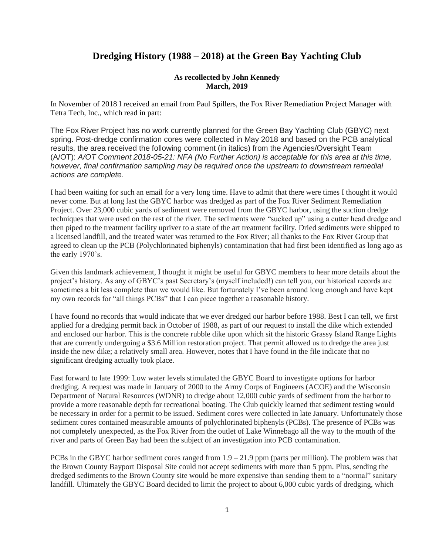## **Dredging History (1988 – 2018) at the Green Bay Yachting Club**

## **As recollected by John Kennedy March, 2019**

In November of 2018 I received an email from Paul Spillers, the Fox River Remediation Project Manager with Tetra Tech, Inc., which read in part:

The Fox River Project has no work currently planned for the Green Bay Yachting Club (GBYC) next spring. Post-dredge confirmation cores were collected in May 2018 and based on the PCB analytical results, the area received the following comment (in italics) from the Agencies/Oversight Team (A/OT): *A/OT Comment 2018-05-21: NFA (No Further Action) is acceptable for this area at this time, however, final confirmation sampling may be required once the upstream to downstream remedial actions are complete.*

I had been waiting for such an email for a very long time. Have to admit that there were times I thought it would never come. But at long last the GBYC harbor was dredged as part of the Fox River Sediment Remediation Project. Over 23,000 cubic yards of sediment were removed from the GBYC harbor, using the suction dredge techniques that were used on the rest of the river. The sediments were "sucked up" using a cutter head dredge and then piped to the treatment facility upriver to a state of the art treatment facility. Dried sediments were shipped to a licensed landfill, and the treated water was returned to the Fox River; all thanks to the Fox River Group that agreed to clean up the PCB (Polychlorinated biphenyls) contamination that had first been identified as long ago as the early 1970's.

Given this landmark achievement, I thought it might be useful for GBYC members to hear more details about the project's history. As any of GBYC's past Secretary's (myself included!) can tell you, our historical records are sometimes a bit less complete than we would like. But fortunately I've been around long enough and have kept my own records for "all things PCBs" that I can piece together a reasonable history.

I have found no records that would indicate that we ever dredged our harbor before 1988. Best I can tell, we first applied for a dredging permit back in October of 1988, as part of our request to install the dike which extended and enclosed our harbor. This is the concrete rubble dike upon which sit the historic Grassy Island Range Lights that are currently undergoing a \$3.6 Million restoration project. That permit allowed us to dredge the area just inside the new dike; a relatively small area. However, notes that I have found in the file indicate that no significant dredging actually took place.

Fast forward to late 1999: Low water levels stimulated the GBYC Board to investigate options for harbor dredging. A request was made in January of 2000 to the Army Corps of Engineers (ACOE) and the Wisconsin Department of Natural Resources (WDNR) to dredge about 12,000 cubic yards of sediment from the harbor to provide a more reasonable depth for recreational boating. The Club quickly learned that sediment testing would be necessary in order for a permit to be issued. Sediment cores were collected in late January. Unfortunately those sediment cores contained measurable amounts of polychlorinated biphenyls (PCBs). The presence of PCBs was not completely unexpected, as the Fox River from the outlet of Lake Winnebago all the way to the mouth of the river and parts of Green Bay had been the subject of an investigation into PCB contamination.

PCBs in the GBYC harbor sediment cores ranged from  $1.9 - 21.9$  ppm (parts per million). The problem was that the Brown County Bayport Disposal Site could not accept sediments with more than 5 ppm. Plus, sending the dredged sediments to the Brown County site would be more expensive than sending them to a "normal" sanitary landfill. Ultimately the GBYC Board decided to limit the project to about 6,000 cubic yards of dredging, which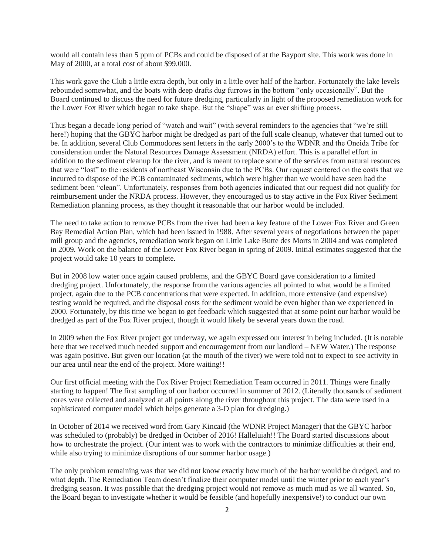would all contain less than 5 ppm of PCBs and could be disposed of at the Bayport site. This work was done in May of 2000, at a total cost of about \$99,000.

This work gave the Club a little extra depth, but only in a little over half of the harbor. Fortunately the lake levels rebounded somewhat, and the boats with deep drafts dug furrows in the bottom "only occasionally". But the Board continued to discuss the need for future dredging, particularly in light of the proposed remediation work for the Lower Fox River which began to take shape. But the "shape" was an ever shifting process.

Thus began a decade long period of "watch and wait" (with several reminders to the agencies that "we're still here!) hoping that the GBYC harbor might be dredged as part of the full scale cleanup, whatever that turned out to be. In addition, several Club Commodores sent letters in the early 2000's to the WDNR and the Oneida Tribe for consideration under the Natural Resources Damage Assessment (NRDA) effort. This is a parallel effort in addition to the sediment cleanup for the river, and is meant to replace some of the services from natural resources that were "lost" to the residents of northeast Wisconsin due to the PCBs. Our request centered on the costs that we incurred to dispose of the PCB contaminated sediments, which were higher than we would have seen had the sediment been "clean". Unfortunately, responses from both agencies indicated that our request did not qualify for reimbursement under the NRDA process. However, they encouraged us to stay active in the Fox River Sediment Remediation planning process, as they thought it reasonable that our harbor would be included.

The need to take action to remove PCBs from the river had been a key feature of the Lower Fox River and Green Bay Remedial Action Plan, which had been issued in 1988. After several years of negotiations between the paper mill group and the agencies, remediation work began on Little Lake Butte des Morts in 2004 and was completed in 2009. Work on the balance of the Lower Fox River began in spring of 2009. Initial estimates suggested that the project would take 10 years to complete.

But in 2008 low water once again caused problems, and the GBYC Board gave consideration to a limited dredging project. Unfortunately, the response from the various agencies all pointed to what would be a limited project, again due to the PCB concentrations that were expected. In addition, more extensive (and expensive) testing would be required, and the disposal costs for the sediment would be even higher than we experienced in 2000. Fortunately, by this time we began to get feedback which suggested that at some point our harbor would be dredged as part of the Fox River project, though it would likely be several years down the road.

In 2009 when the Fox River project got underway, we again expressed our interest in being included. (It is notable here that we received much needed support and encouragement from our landlord – NEW Water.) The response was again positive. But given our location (at the mouth of the river) we were told not to expect to see activity in our area until near the end of the project. More waiting!!

Our first official meeting with the Fox River Project Remediation Team occurred in 2011. Things were finally starting to happen! The first sampling of our harbor occurred in summer of 2012. (Literally thousands of sediment cores were collected and analyzed at all points along the river throughout this project. The data were used in a sophisticated computer model which helps generate a 3-D plan for dredging.)

In October of 2014 we received word from Gary Kincaid (the WDNR Project Manager) that the GBYC harbor was scheduled to (probably) be dredged in October of 2016! Halleluiah!! The Board started discussions about how to orchestrate the project. (Our intent was to work with the contractors to minimize difficulties at their end, while also trying to minimize disruptions of our summer harbor usage.)

The only problem remaining was that we did not know exactly how much of the harbor would be dredged, and to what depth. The Remediation Team doesn't finalize their computer model until the winter prior to each year's dredging season. It was possible that the dredging project would not remove as much mud as we all wanted. So, the Board began to investigate whether it would be feasible (and hopefully inexpensive!) to conduct our own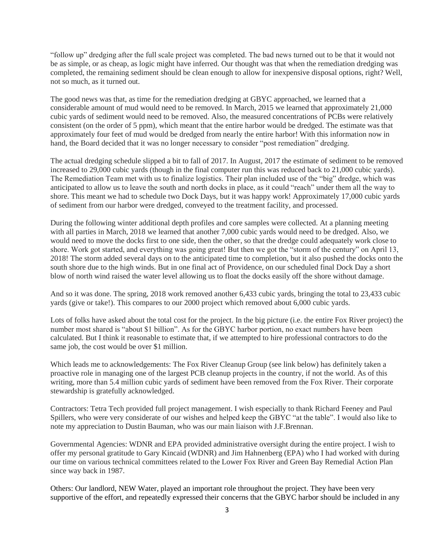"follow up" dredging after the full scale project was completed. The bad news turned out to be that it would not be as simple, or as cheap, as logic might have inferred. Our thought was that when the remediation dredging was completed, the remaining sediment should be clean enough to allow for inexpensive disposal options, right? Well, not so much, as it turned out.

The good news was that, as time for the remediation dredging at GBYC approached, we learned that a considerable amount of mud would need to be removed. In March, 2015 we learned that approximately 21,000 cubic yards of sediment would need to be removed. Also, the measured concentrations of PCBs were relatively consistent (on the order of 5 ppm), which meant that the entire harbor would be dredged. The estimate was that approximately four feet of mud would be dredged from nearly the entire harbor! With this information now in hand, the Board decided that it was no longer necessary to consider "post remediation" dredging.

The actual dredging schedule slipped a bit to fall of 2017. In August, 2017 the estimate of sediment to be removed increased to 29,000 cubic yards (though in the final computer run this was reduced back to 21,000 cubic yards). The Remediation Team met with us to finalize logistics. Their plan included use of the "big" dredge, which was anticipated to allow us to leave the south and north docks in place, as it could "reach" under them all the way to shore. This meant we had to schedule two Dock Days, but it was happy work! Approximately 17,000 cubic yards of sediment from our harbor were dredged, conveyed to the treatment facility, and processed.

During the following winter additional depth profiles and core samples were collected. At a planning meeting with all parties in March, 2018 we learned that another 7,000 cubic yards would need to be dredged. Also, we would need to move the docks first to one side, then the other, so that the dredge could adequately work close to shore. Work got started, and everything was going great! But then we got the "storm of the century" on April 13, 2018! The storm added several days on to the anticipated time to completion, but it also pushed the docks onto the south shore due to the high winds. But in one final act of Providence, on our scheduled final Dock Day a short blow of north wind raised the water level allowing us to float the docks easily off the shore without damage.

And so it was done. The spring, 2018 work removed another 6,433 cubic yards, bringing the total to 23,433 cubic yards (give or take!). This compares to our 2000 project which removed about 6,000 cubic yards.

Lots of folks have asked about the total cost for the project. In the big picture (i.e. the entire Fox River project) the number most shared is "about \$1 billion". As for the GBYC harbor portion, no exact numbers have been calculated. But I think it reasonable to estimate that, if we attempted to hire professional contractors to do the same job, the cost would be over \$1 million.

Which leads me to acknowledgements: The Fox River Cleanup Group (see link below) has definitely taken a proactive role in managing one of the largest PCB cleanup projects in the country, if not the world. As of this writing, more than 5.4 million cubic yards of sediment have been removed from the Fox River. Their corporate stewardship is gratefully acknowledged.

Contractors: Tetra Tech provided full project management. I wish especially to thank Richard Feeney and Paul Spillers, who were very considerate of our wishes and helped keep the GBYC "at the table". I would also like to note my appreciation to Dustin Bauman, who was our main liaison with J.F.Brennan.

Governmental Agencies: WDNR and EPA provided administrative oversight during the entire project. I wish to offer my personal gratitude to Gary Kincaid (WDNR) and Jim Hahnenberg (EPA) who I had worked with during our time on various technical committees related to the Lower Fox River and Green Bay Remedial Action Plan since way back in 1987.

Others: Our landlord, NEW Water, played an important role throughout the project. They have been very supportive of the effort, and repeatedly expressed their concerns that the GBYC harbor should be included in any